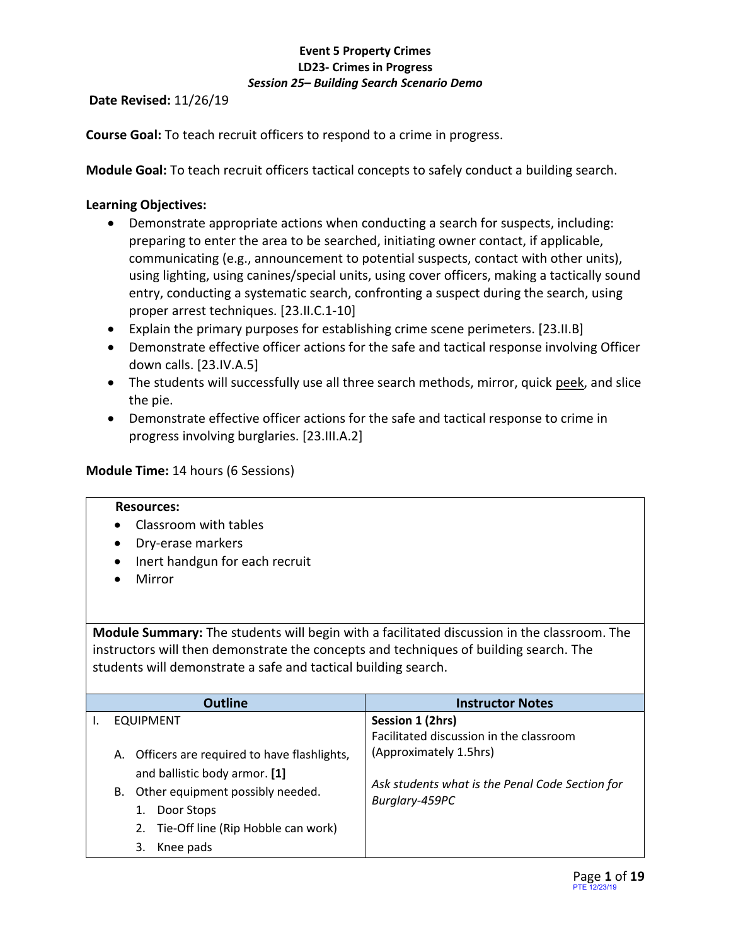**Date Revised:** 11/26/19

**Course Goal:** To teach recruit officers to respond to a crime in progress.

**Module Goal:** To teach recruit officers tactical concepts to safely conduct a building search.

### **Learning Objectives:**

- Demonstrate appropriate actions when conducting a search for suspects, including: preparing to enter the area to be searched, initiating owner contact, if applicable, communicating (e.g., announcement to potential suspects, contact with other units), using lighting, using canines/special units, using cover officers, making a tactically sound entry, conducting a systematic search, confronting a suspect during the search, using proper arrest techniques. [23.II.C.1-10]
- Explain the primary purposes for establishing crime scene perimeters. [23.II.B]
- Demonstrate effective officer actions for the safe and tactical response involving Officer down calls. [23.IV.A.5]
- The students will successfully use all three search methods, mirror, quick peek, and slice the pie.
- Demonstrate effective officer actions for the safe and tactical response to crime in progress involving burglaries. [23.III.A.2]

### **Module Time:** 14 hours (6 Sessions)

#### **Resources:**

- Classroom with tables
- Dry-erase markers
- Inert handgun for each recruit
- Mirror

**Module Summary:** The students will begin with a facilitated discussion in the classroom. The instructors will then demonstrate the concepts and techniques of building search. The students will demonstrate a safe and tactical building search.

| Outline                                       | <b>Instructor Notes</b>                         |
|-----------------------------------------------|-------------------------------------------------|
| <b>EQUIPMENT</b>                              | Session 1 (2hrs)                                |
|                                               | Facilitated discussion in the classroom         |
| A. Officers are required to have flashlights, | (Approximately 1.5hrs)                          |
| and ballistic body armor. [1]                 |                                                 |
| Other equipment possibly needed.<br>B.        | Ask students what is the Penal Code Section for |
| Door Stops                                    | Burglary-459PC                                  |
| 2. Tie-Off line (Rip Hobble can work)         |                                                 |
| Knee pads<br>3.                               |                                                 |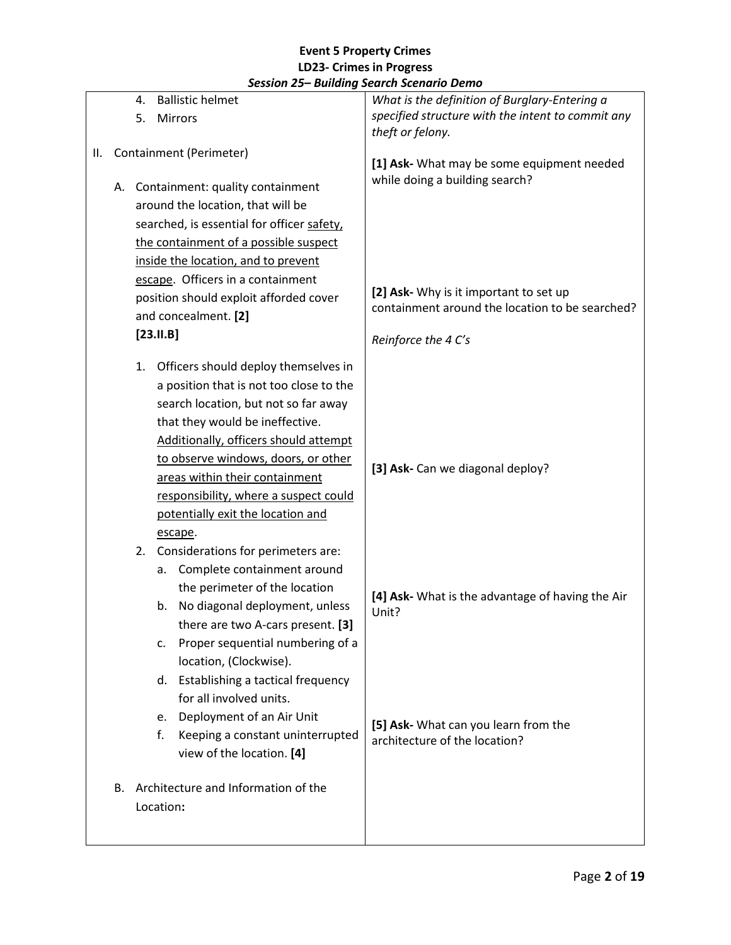|    |                         |                                                                       |             | ssion 25 Danamy Scaren Scenario Denio      |                                                                              |
|----|-------------------------|-----------------------------------------------------------------------|-------------|--------------------------------------------|------------------------------------------------------------------------------|
|    |                         | 4.                                                                    |             | <b>Ballistic helmet</b>                    | What is the definition of Burglary-Entering a                                |
|    |                         | 5.                                                                    |             | Mirrors                                    | specified structure with the intent to commit any                            |
|    |                         |                                                                       |             |                                            | theft or felony.                                                             |
| Ш. | Containment (Perimeter) |                                                                       |             |                                            |                                                                              |
|    |                         |                                                                       |             |                                            | [1] Ask- What may be some equipment needed<br>while doing a building search? |
|    |                         |                                                                       |             | A. Containment: quality containment        |                                                                              |
|    |                         |                                                                       |             | around the location, that will be          |                                                                              |
|    |                         |                                                                       |             | searched, is essential for officer safety, |                                                                              |
|    |                         |                                                                       |             | the containment of a possible suspect      |                                                                              |
|    |                         |                                                                       |             | inside the location, and to prevent        |                                                                              |
|    |                         |                                                                       |             | escape. Officers in a containment          |                                                                              |
|    |                         |                                                                       |             | position should exploit afforded cover     | [2] Ask- Why is it important to set up                                       |
|    |                         |                                                                       |             | and concealment. [2]                       | containment around the location to be searched?                              |
|    |                         |                                                                       | $[23.11.B]$ |                                            |                                                                              |
|    |                         |                                                                       |             |                                            | Reinforce the 4 C's                                                          |
|    |                         | 1.                                                                    |             | Officers should deploy themselves in       |                                                                              |
|    |                         |                                                                       |             | a position that is not too close to the    |                                                                              |
|    |                         |                                                                       |             | search location, but not so far away       |                                                                              |
|    |                         |                                                                       |             | that they would be ineffective.            |                                                                              |
|    |                         |                                                                       |             | Additionally, officers should attempt      |                                                                              |
|    |                         | to observe windows, doors, or other<br>areas within their containment |             |                                            |                                                                              |
|    |                         |                                                                       |             |                                            | [3] Ask- Can we diagonal deploy?                                             |
|    |                         | responsibility, where a suspect could                                 |             |                                            |                                                                              |
|    |                         |                                                                       |             |                                            |                                                                              |
|    |                         | potentially exit the location and<br>escape.                          |             |                                            |                                                                              |
|    |                         |                                                                       |             | Considerations for perimeters are:         |                                                                              |
|    |                         | 2.                                                                    |             | Complete containment around                |                                                                              |
|    |                         |                                                                       | а.          |                                            |                                                                              |
|    |                         |                                                                       |             | the perimeter of the location              | [4] Ask- What is the advantage of having the Air                             |
|    |                         |                                                                       | b.          | No diagonal deployment, unless             | Unit?                                                                        |
|    |                         |                                                                       |             | there are two A-cars present. [3]          |                                                                              |
|    |                         |                                                                       | c.          | Proper sequential numbering of a           |                                                                              |
|    |                         |                                                                       |             | location, (Clockwise).                     |                                                                              |
|    |                         |                                                                       | d.          | Establishing a tactical frequency          |                                                                              |
|    |                         |                                                                       |             | for all involved units.                    |                                                                              |
|    |                         |                                                                       | e.          | Deployment of an Air Unit                  | [5] Ask- What can you learn from the                                         |
|    |                         |                                                                       | f.          | Keeping a constant uninterrupted           | architecture of the location?                                                |
|    |                         |                                                                       |             | view of the location. [4]                  |                                                                              |
|    |                         |                                                                       |             |                                            |                                                                              |
|    | В.                      |                                                                       |             | Architecture and Information of the        |                                                                              |
|    |                         |                                                                       | Location:   |                                            |                                                                              |
|    |                         |                                                                       |             |                                            |                                                                              |
|    |                         |                                                                       |             |                                            |                                                                              |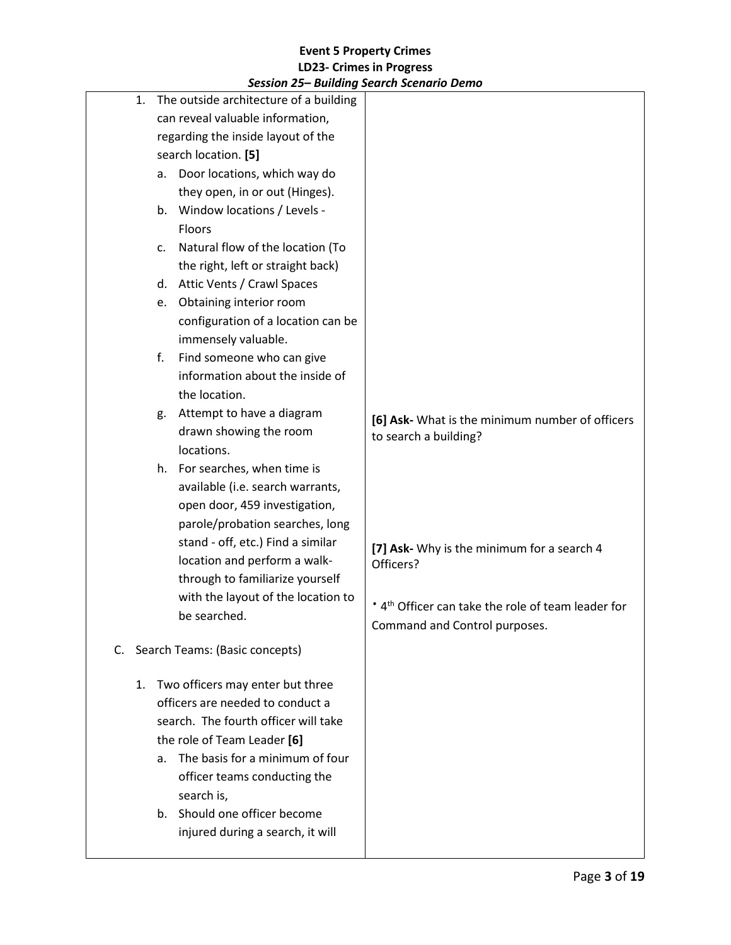|    | 3ession 23– Danamg Search Scenario Denio                                                                         |                                                                |
|----|------------------------------------------------------------------------------------------------------------------|----------------------------------------------------------------|
| 1. | The outside architecture of a building<br>can reveal valuable information,<br>regarding the inside layout of the |                                                                |
|    |                                                                                                                  |                                                                |
|    | search location. [5]<br>Door locations, which way do                                                             |                                                                |
|    | a.<br>they open, in or out (Hinges).                                                                             |                                                                |
|    | Window locations / Levels -<br>b.                                                                                |                                                                |
|    | <b>Floors</b>                                                                                                    |                                                                |
|    | Natural flow of the location (To                                                                                 |                                                                |
|    | c.                                                                                                               |                                                                |
|    | the right, left or straight back)                                                                                |                                                                |
|    | d. Attic Vents / Crawl Spaces                                                                                    |                                                                |
|    | Obtaining interior room<br>e.                                                                                    |                                                                |
|    | configuration of a location can be                                                                               |                                                                |
|    | immensely valuable.                                                                                              |                                                                |
|    | Find someone who can give<br>f.                                                                                  |                                                                |
|    | information about the inside of                                                                                  |                                                                |
|    | the location.                                                                                                    |                                                                |
|    | Attempt to have a diagram<br>g.                                                                                  | [6] Ask- What is the minimum number of officers                |
|    | drawn showing the room                                                                                           | to search a building?                                          |
|    | locations.                                                                                                       |                                                                |
|    | h. For searches, when time is                                                                                    |                                                                |
|    | available (i.e. search warrants,                                                                                 |                                                                |
|    | open door, 459 investigation,                                                                                    |                                                                |
|    | parole/probation searches, long                                                                                  |                                                                |
|    | stand - off, etc.) Find a similar                                                                                | [7] Ask- Why is the minimum for a search 4                     |
|    | location and perform a walk-                                                                                     | Officers?                                                      |
|    | through to familiarize yourself                                                                                  |                                                                |
|    | with the layout of the location to                                                                               | * 4 <sup>th</sup> Officer can take the role of team leader for |
|    | be searched.                                                                                                     | Command and Control purposes.                                  |
|    | C. Search Teams: (Basic concepts)                                                                                |                                                                |
|    |                                                                                                                  |                                                                |
| 1. | Two officers may enter but three                                                                                 |                                                                |
|    | officers are needed to conduct a                                                                                 |                                                                |
|    | search. The fourth officer will take                                                                             |                                                                |
|    | the role of Team Leader [6]                                                                                      |                                                                |
|    | The basis for a minimum of four<br>a.                                                                            |                                                                |
|    | officer teams conducting the                                                                                     |                                                                |
|    | search is,                                                                                                       |                                                                |
|    | b. Should one officer become                                                                                     |                                                                |
|    | injured during a search, it will                                                                                 |                                                                |
|    |                                                                                                                  |                                                                |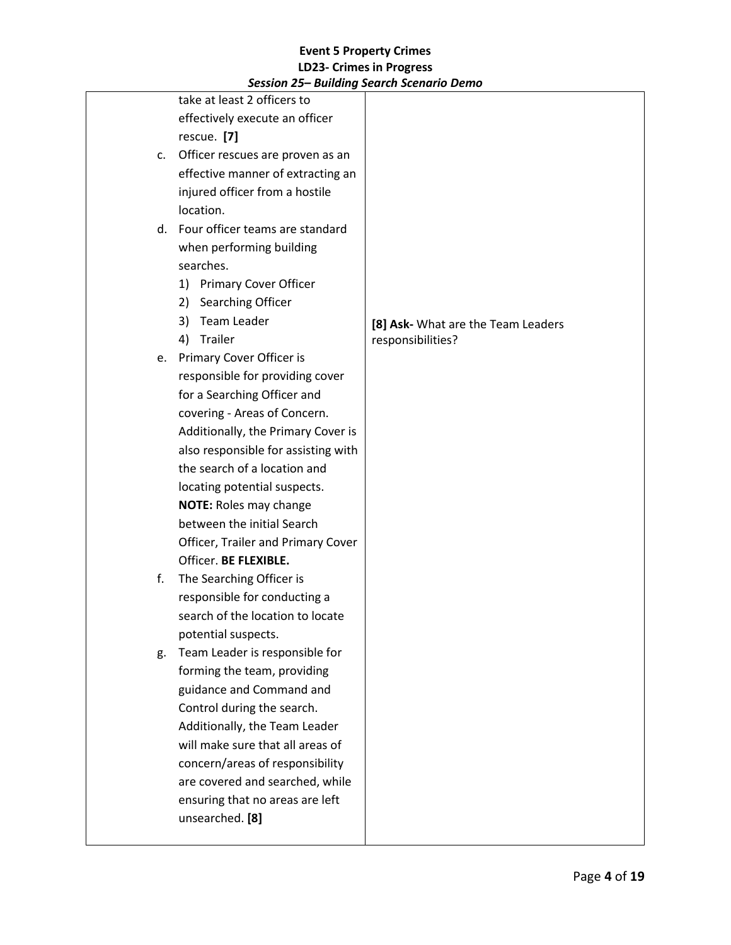| session 25 – banaing search scenario Denio |                                    |
|--------------------------------------------|------------------------------------|
| take at least 2 officers to                |                                    |
| effectively execute an officer             |                                    |
| rescue. [7]                                |                                    |
| c. Officer rescues are proven as an        |                                    |
| effective manner of extracting an          |                                    |
| injured officer from a hostile             |                                    |
| location.                                  |                                    |
| d. Four officer teams are standard         |                                    |
| when performing building                   |                                    |
| searches.                                  |                                    |
| 1) Primary Cover Officer                   |                                    |
| Searching Officer<br>2)                    |                                    |
| 3) Team Leader                             | [8] Ask- What are the Team Leaders |
| Trailer<br>4)                              | responsibilities?                  |
| e. Primary Cover Officer is                |                                    |
| responsible for providing cover            |                                    |
| for a Searching Officer and                |                                    |
| covering - Areas of Concern.               |                                    |
| Additionally, the Primary Cover is         |                                    |
| also responsible for assisting with        |                                    |
| the search of a location and               |                                    |
| locating potential suspects.               |                                    |
| <b>NOTE: Roles may change</b>              |                                    |
| between the initial Search                 |                                    |
| Officer, Trailer and Primary Cover         |                                    |
| Officer. BE FLEXIBLE.                      |                                    |
| The Searching Officer is<br>f.             |                                    |
| responsible for conducting a               |                                    |
| search of the location to locate           |                                    |
| potential suspects.                        |                                    |
| Team Leader is responsible for<br>g.       |                                    |
| forming the team, providing                |                                    |
| guidance and Command and                   |                                    |
| Control during the search.                 |                                    |
| Additionally, the Team Leader              |                                    |
| will make sure that all areas of           |                                    |
| concern/areas of responsibility            |                                    |
| are covered and searched, while            |                                    |
| ensuring that no areas are left            |                                    |
| unsearched. [8]                            |                                    |
|                                            |                                    |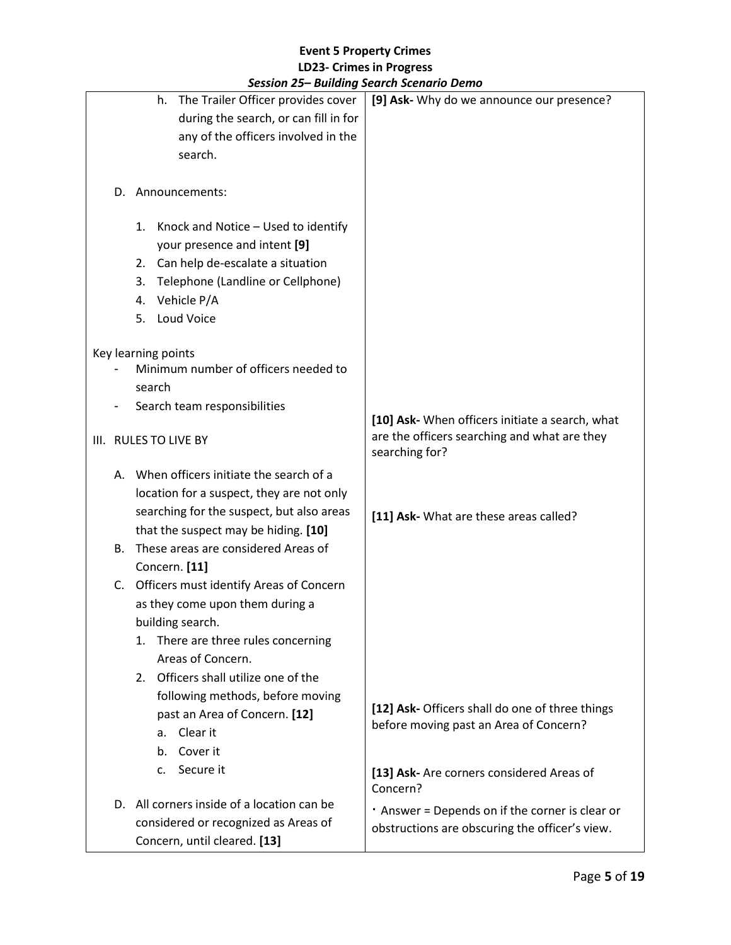|  | session 25 – Danamy search scenario Denio  |                                                       |
|--|--------------------------------------------|-------------------------------------------------------|
|  | The Trailer Officer provides cover<br>h.   | [9] Ask- Why do we announce our presence?             |
|  | during the search, or can fill in for      |                                                       |
|  | any of the officers involved in the        |                                                       |
|  | search.                                    |                                                       |
|  |                                            |                                                       |
|  | D. Announcements:                          |                                                       |
|  |                                            |                                                       |
|  | 1. Knock and Notice - Used to identify     |                                                       |
|  | your presence and intent [9]               |                                                       |
|  | 2. Can help de-escalate a situation        |                                                       |
|  | Telephone (Landline or Cellphone)<br>3.    |                                                       |
|  | Vehicle P/A<br>4.                          |                                                       |
|  | Loud Voice<br>5.                           |                                                       |
|  | Key learning points                        |                                                       |
|  | Minimum number of officers needed to       |                                                       |
|  | search                                     |                                                       |
|  | Search team responsibilities               |                                                       |
|  |                                            | [10] Ask- When officers initiate a search, what       |
|  | III. RULES TO LIVE BY                      | are the officers searching and what are they          |
|  |                                            | searching for?                                        |
|  | A. When officers initiate the search of a  |                                                       |
|  | location for a suspect, they are not only  |                                                       |
|  | searching for the suspect, but also areas  | [11] Ask- What are these areas called?                |
|  | that the suspect may be hiding. [10]       |                                                       |
|  | B. These areas are considered Areas of     |                                                       |
|  | Concern. [11]                              |                                                       |
|  | C. Officers must identify Areas of Concern |                                                       |
|  | as they come upon them during a            |                                                       |
|  | building search.                           |                                                       |
|  | There are three rules concerning<br>1.     |                                                       |
|  | Areas of Concern.                          |                                                       |
|  | 2. Officers shall utilize one of the       |                                                       |
|  | following methods, before moving           | [12] Ask- Officers shall do one of three things       |
|  | past an Area of Concern. [12]              | before moving past an Area of Concern?                |
|  | Clear it<br>a.                             |                                                       |
|  | Cover it<br>b.                             |                                                       |
|  | Secure it<br>c.                            | [13] Ask- Are corners considered Areas of<br>Concern? |
|  | D. All corners inside of a location can be | . Answer = Depends on if the corner is clear or       |
|  | considered or recognized as Areas of       | obstructions are obscuring the officer's view.        |
|  | Concern, until cleared. [13]               |                                                       |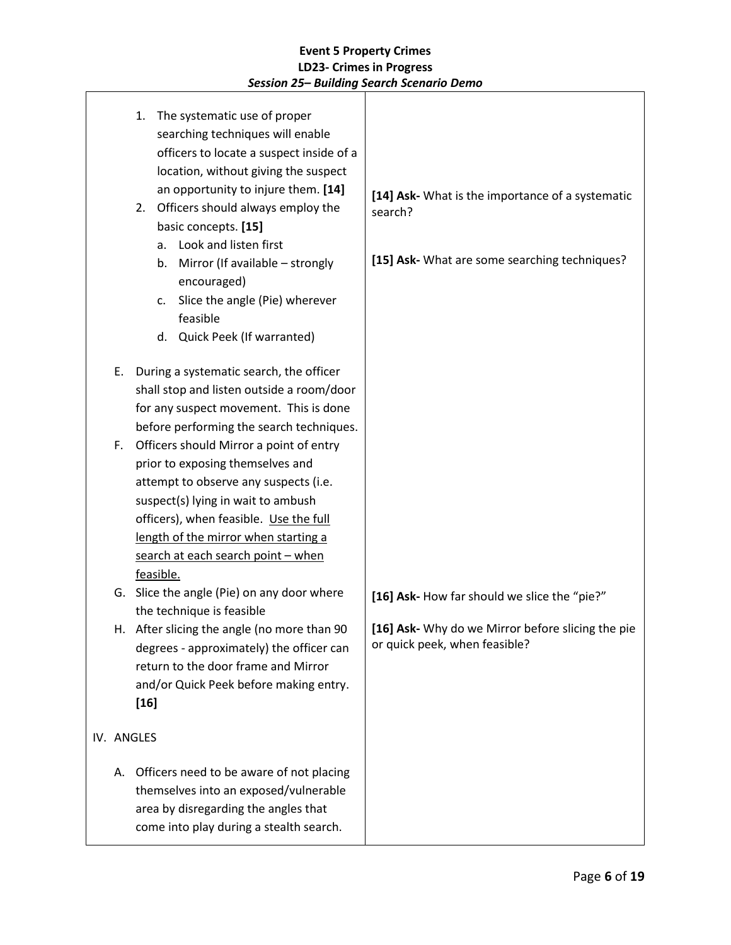|    | The systematic use of proper<br>1.<br>searching techniques will enable<br>officers to locate a suspect inside of a<br>location, without giving the suspect<br>an opportunity to injure them. [14]<br>2. Officers should always employ the<br>basic concepts. [15]<br>a. Look and listen first<br>Mirror (If available - strongly<br>b.<br>encouraged)<br>Slice the angle (Pie) wherever<br>C.<br>feasible<br>d. Quick Peek (If warranted) | [14] Ask- What is the importance of a systematic<br>search?<br>[15] Ask- What are some searching techniques? |
|----|-------------------------------------------------------------------------------------------------------------------------------------------------------------------------------------------------------------------------------------------------------------------------------------------------------------------------------------------------------------------------------------------------------------------------------------------|--------------------------------------------------------------------------------------------------------------|
| Ε. | During a systematic search, the officer<br>shall stop and listen outside a room/door<br>for any suspect movement. This is done<br>before performing the search techniques.                                                                                                                                                                                                                                                                |                                                                                                              |
| F. | Officers should Mirror a point of entry<br>prior to exposing themselves and<br>attempt to observe any suspects (i.e.<br>suspect(s) lying in wait to ambush<br>officers), when feasible. Use the full<br>length of the mirror when starting a<br>search at each search point - when<br>feasible.                                                                                                                                           |                                                                                                              |
|    | G. Slice the angle (Pie) on any door where                                                                                                                                                                                                                                                                                                                                                                                                | [16] Ask- How far should we slice the "pie?"                                                                 |
| н. | the technique is feasible<br>After slicing the angle (no more than 90<br>degrees - approximately) the officer can<br>return to the door frame and Mirror<br>and/or Quick Peek before making entry.<br>$[16]$                                                                                                                                                                                                                              | [16] Ask- Why do we Mirror before slicing the pie<br>or quick peek, when feasible?                           |
|    | IV. ANGLES                                                                                                                                                                                                                                                                                                                                                                                                                                |                                                                                                              |
| А. | Officers need to be aware of not placing<br>themselves into an exposed/vulnerable<br>area by disregarding the angles that<br>come into play during a stealth search.                                                                                                                                                                                                                                                                      |                                                                                                              |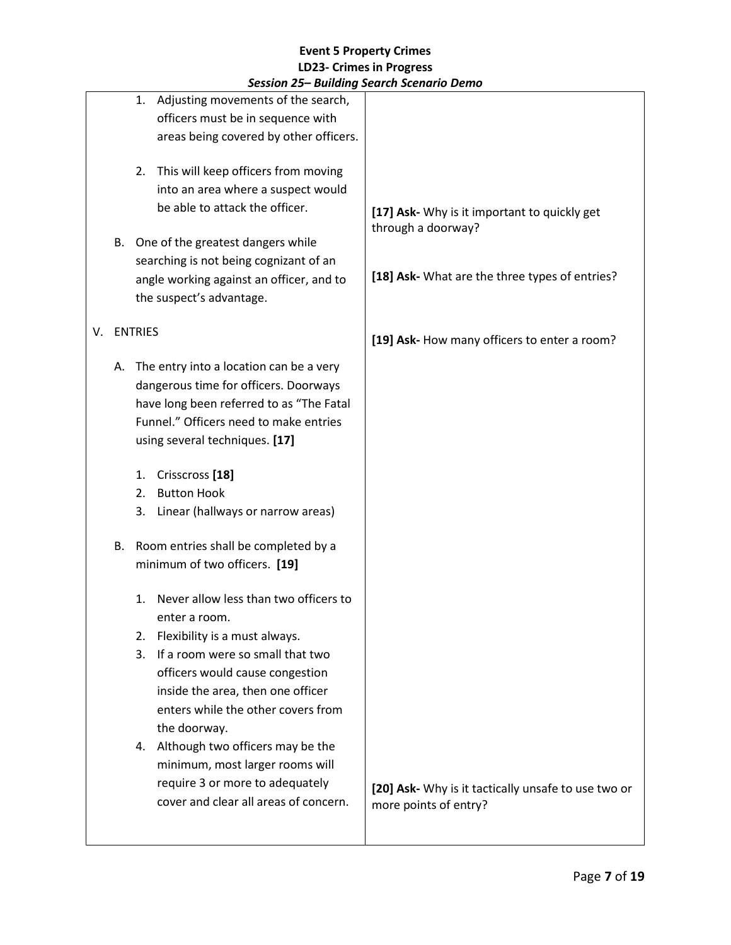|    |    | session 25– Bunding search scenario Denio                                                                                                                                                                                                                   |                                                                              |
|----|----|-------------------------------------------------------------------------------------------------------------------------------------------------------------------------------------------------------------------------------------------------------------|------------------------------------------------------------------------------|
|    |    | Adjusting movements of the search,<br>1.<br>officers must be in sequence with<br>areas being covered by other officers.                                                                                                                                     |                                                                              |
|    | В. | This will keep officers from moving<br>2.<br>into an area where a suspect would<br>be able to attack the officer.<br>One of the greatest dangers while                                                                                                      | [17] Ask- Why is it important to quickly get<br>through a doorway?           |
|    |    | searching is not being cognizant of an<br>angle working against an officer, and to<br>the suspect's advantage.                                                                                                                                              | [18] Ask- What are the three types of entries?                               |
| V. |    | <b>ENTRIES</b>                                                                                                                                                                                                                                              | [19] Ask- How many officers to enter a room?                                 |
|    | А. | The entry into a location can be a very<br>dangerous time for officers. Doorways<br>have long been referred to as "The Fatal<br>Funnel." Officers need to make entries<br>using several techniques. [17]                                                    |                                                                              |
|    |    | Crisscross <sup>[18]</sup><br>1.                                                                                                                                                                                                                            |                                                                              |
|    |    | <b>Button Hook</b><br>2.                                                                                                                                                                                                                                    |                                                                              |
|    |    | 3.<br>Linear (hallways or narrow areas)                                                                                                                                                                                                                     |                                                                              |
|    | В. | Room entries shall be completed by a<br>minimum of two officers. [19]                                                                                                                                                                                       |                                                                              |
|    |    | Never allow less than two officers to<br>1.<br>enter a room.<br>Flexibility is a must always.<br>2.<br>If a room were so small that two<br>3.<br>officers would cause congestion<br>inside the area, then one officer<br>enters while the other covers from |                                                                              |
|    |    | the doorway.<br>Although two officers may be the<br>4.<br>minimum, most larger rooms will<br>require 3 or more to adequately<br>cover and clear all areas of concern.                                                                                       | [20] Ask- Why is it tactically unsafe to use two or<br>more points of entry? |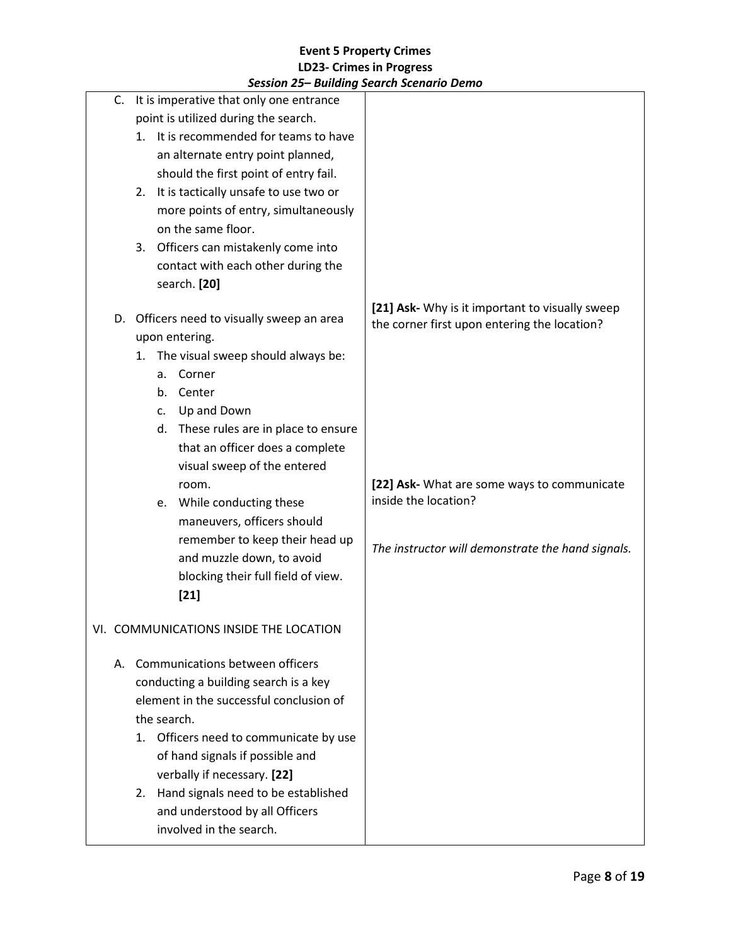|    |                                        |    | Session 25– Bullaing Search Scenario Demo  |                                                                                                 |
|----|----------------------------------------|----|--------------------------------------------|-------------------------------------------------------------------------------------------------|
| C. |                                        |    | It is imperative that only one entrance    |                                                                                                 |
|    |                                        |    | point is utilized during the search.       |                                                                                                 |
|    | 1. It is recommended for teams to have |    |                                            |                                                                                                 |
|    | an alternate entry point planned,      |    |                                            |                                                                                                 |
|    |                                        |    | should the first point of entry fail.      |                                                                                                 |
|    |                                        |    | 2. It is tactically unsafe to use two or   |                                                                                                 |
|    |                                        |    | more points of entry, simultaneously       |                                                                                                 |
|    |                                        |    | on the same floor.                         |                                                                                                 |
|    |                                        |    | 3. Officers can mistakenly come into       |                                                                                                 |
|    |                                        |    | contact with each other during the         |                                                                                                 |
|    |                                        |    | search. [20]                               |                                                                                                 |
|    |                                        |    | D. Officers need to visually sweep an area | [21] Ask- Why is it important to visually sweep<br>the corner first upon entering the location? |
|    |                                        |    | upon entering.                             |                                                                                                 |
|    | 1.                                     |    | The visual sweep should always be:         |                                                                                                 |
|    |                                        |    | a. Corner                                  |                                                                                                 |
|    |                                        |    | b. Center                                  |                                                                                                 |
|    |                                        | C. | Up and Down                                |                                                                                                 |
|    |                                        |    | d. These rules are in place to ensure      |                                                                                                 |
|    |                                        |    | that an officer does a complete            |                                                                                                 |
|    |                                        |    | visual sweep of the entered                |                                                                                                 |
|    |                                        |    | room.                                      | [22] Ask- What are some ways to communicate                                                     |
|    |                                        |    | e. While conducting these                  | inside the location?                                                                            |
|    |                                        |    | maneuvers, officers should                 |                                                                                                 |
|    |                                        |    | remember to keep their head up             |                                                                                                 |
|    |                                        |    | and muzzle down, to avoid                  | The instructor will demonstrate the hand signals.                                               |
|    |                                        |    | blocking their full field of view.         |                                                                                                 |
|    |                                        |    | $[21]$                                     |                                                                                                 |
|    |                                        |    |                                            |                                                                                                 |
|    |                                        |    | VI. COMMUNICATIONS INSIDE THE LOCATION     |                                                                                                 |
|    |                                        |    | A. Communications between officers         |                                                                                                 |
|    |                                        |    | conducting a building search is a key      |                                                                                                 |
|    |                                        |    | element in the successful conclusion of    |                                                                                                 |
|    |                                        |    | the search.                                |                                                                                                 |
|    |                                        |    |                                            |                                                                                                 |
|    | 1.                                     |    | Officers need to communicate by use        |                                                                                                 |
|    |                                        |    | of hand signals if possible and            |                                                                                                 |
|    |                                        |    | verbally if necessary. [22]                |                                                                                                 |
|    | 2.                                     |    | Hand signals need to be established        |                                                                                                 |
|    |                                        |    | and understood by all Officers             |                                                                                                 |
|    |                                        |    | involved in the search.                    |                                                                                                 |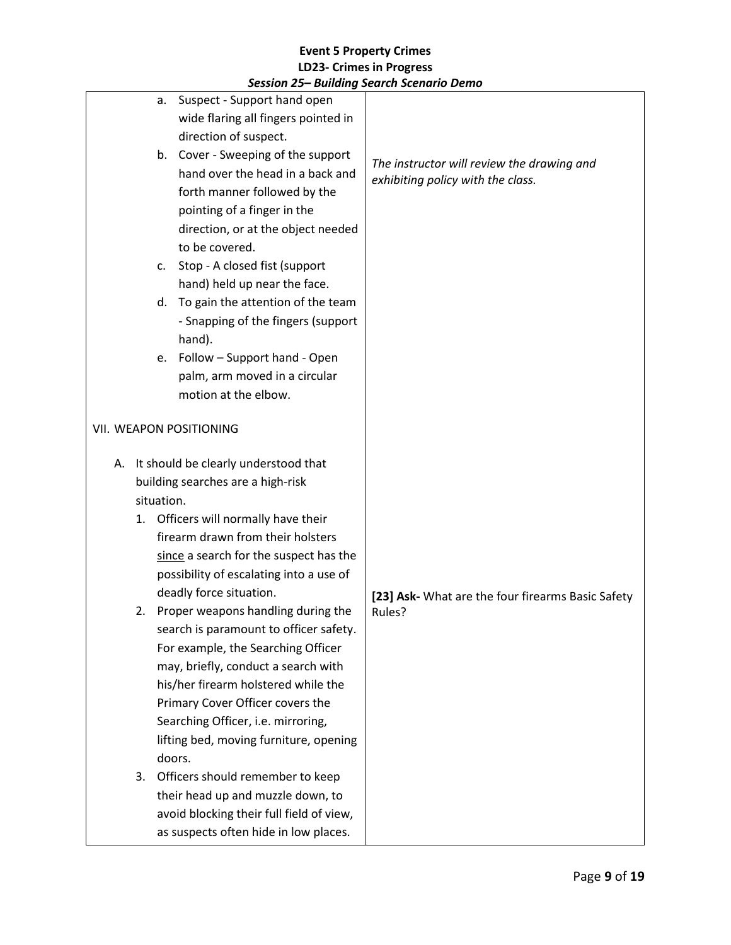|            | session 25 – Danaing search scenario Denio |                                                   |
|------------|--------------------------------------------|---------------------------------------------------|
| а.         | Suspect - Support hand open                |                                                   |
|            | wide flaring all fingers pointed in        |                                                   |
|            | direction of suspect.                      |                                                   |
|            | b. Cover - Sweeping of the support         | The instructor will review the drawing and        |
|            | hand over the head in a back and           | exhibiting policy with the class.                 |
|            | forth manner followed by the               |                                                   |
|            | pointing of a finger in the                |                                                   |
|            | direction, or at the object needed         |                                                   |
|            | to be covered.                             |                                                   |
| c.         | Stop - A closed fist (support              |                                                   |
|            | hand) held up near the face.               |                                                   |
| d.         | To gain the attention of the team          |                                                   |
|            | - Snapping of the fingers (support         |                                                   |
|            | hand).                                     |                                                   |
|            | e. Follow - Support hand - Open            |                                                   |
|            | palm, arm moved in a circular              |                                                   |
|            | motion at the elbow.                       |                                                   |
|            |                                            |                                                   |
|            | VII. WEAPON POSITIONING                    |                                                   |
|            |                                            |                                                   |
| А.         | It should be clearly understood that       |                                                   |
|            | building searches are a high-risk          |                                                   |
| situation. |                                            |                                                   |
| 1.         | Officers will normally have their          |                                                   |
|            | firearm drawn from their holsters          |                                                   |
|            | since a search for the suspect has the     |                                                   |
|            | possibility of escalating into a use of    |                                                   |
|            | deadly force situation.                    | [23] Ask- What are the four firearms Basic Safety |
|            | 2. Proper weapons handling during the      | Rules?                                            |
|            | search is paramount to officer safety.     |                                                   |
|            | For example, the Searching Officer         |                                                   |
|            | may, briefly, conduct a search with        |                                                   |
|            | his/her firearm holstered while the        |                                                   |
|            | Primary Cover Officer covers the           |                                                   |
|            | Searching Officer, i.e. mirroring,         |                                                   |
|            | lifting bed, moving furniture, opening     |                                                   |
|            | doors.                                     |                                                   |
| 3.         | Officers should remember to keep           |                                                   |
|            | their head up and muzzle down, to          |                                                   |
|            | avoid blocking their full field of view,   |                                                   |
|            | as suspects often hide in low places.      |                                                   |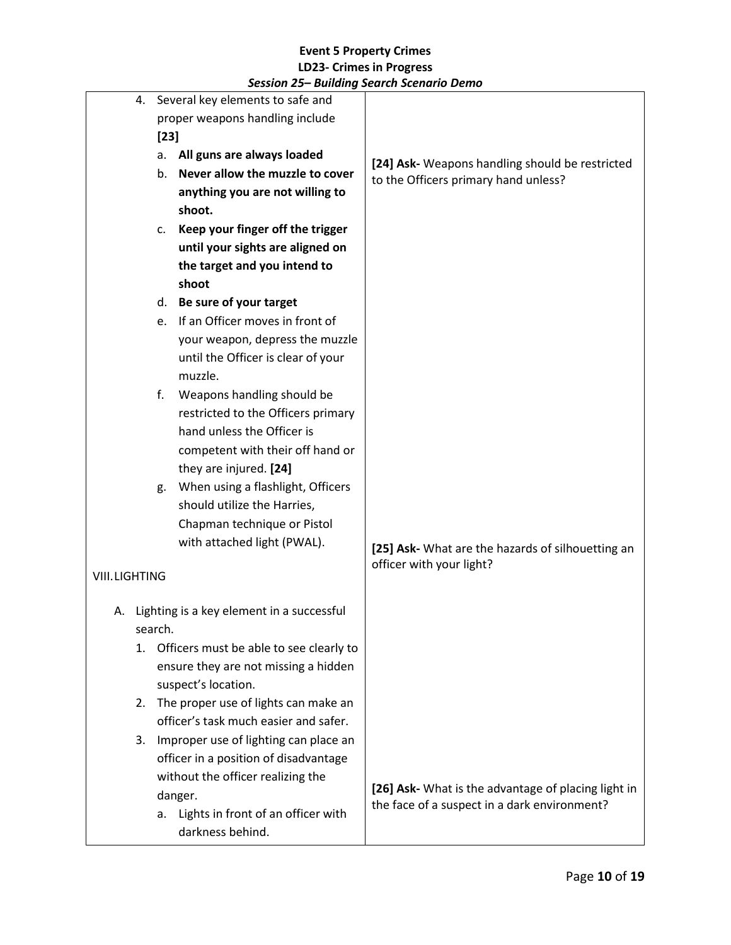|                      |                                       |         | 4. Several key elements to safe and                        |                                                                                         |
|----------------------|---------------------------------------|---------|------------------------------------------------------------|-----------------------------------------------------------------------------------------|
|                      | proper weapons handling include       |         |                                                            |                                                                                         |
|                      | $[23]$                                |         |                                                            |                                                                                         |
|                      | All guns are always loaded<br>а.      |         |                                                            |                                                                                         |
|                      |                                       | b.      | Never allow the muzzle to cover                            | [24] Ask- Weapons handling should be restricted<br>to the Officers primary hand unless? |
|                      |                                       |         | anything you are not willing to                            |                                                                                         |
|                      |                                       |         | shoot.                                                     |                                                                                         |
|                      |                                       | c.      | Keep your finger off the trigger                           |                                                                                         |
|                      |                                       |         | until your sights are aligned on                           |                                                                                         |
|                      |                                       |         | the target and you intend to                               |                                                                                         |
|                      |                                       |         | shoot                                                      |                                                                                         |
|                      |                                       | d.      | Be sure of your target                                     |                                                                                         |
|                      |                                       | e.      | If an Officer moves in front of                            |                                                                                         |
|                      |                                       |         | your weapon, depress the muzzle                            |                                                                                         |
|                      |                                       |         | until the Officer is clear of your                         |                                                                                         |
|                      |                                       |         | muzzle.                                                    |                                                                                         |
|                      |                                       | f.      | Weapons handling should be                                 |                                                                                         |
|                      |                                       |         | restricted to the Officers primary                         |                                                                                         |
|                      |                                       |         | hand unless the Officer is                                 |                                                                                         |
|                      |                                       |         | competent with their off hand or                           |                                                                                         |
|                      |                                       |         | they are injured. [24]                                     |                                                                                         |
|                      |                                       | g.      | When using a flashlight, Officers                          |                                                                                         |
|                      |                                       |         | should utilize the Harries,                                |                                                                                         |
|                      |                                       |         | Chapman technique or Pistol<br>with attached light (PWAL). |                                                                                         |
|                      |                                       |         |                                                            | [25] Ask- What are the hazards of silhouetting an                                       |
| <b>VIII.LIGHTING</b> |                                       |         |                                                            | officer with your light?                                                                |
|                      |                                       |         |                                                            |                                                                                         |
|                      |                                       |         | A. Lighting is a key element in a successful               |                                                                                         |
|                      |                                       | search. |                                                            |                                                                                         |
|                      | 1.                                    |         | Officers must be able to see clearly to                    |                                                                                         |
|                      |                                       |         | ensure they are not missing a hidden                       |                                                                                         |
|                      |                                       |         | suspect's location.                                        |                                                                                         |
|                      |                                       |         | 2. The proper use of lights can make an                    |                                                                                         |
|                      |                                       |         | officer's task much easier and safer.                      |                                                                                         |
|                      | 3.                                    |         | Improper use of lighting can place an                      |                                                                                         |
|                      | officer in a position of disadvantage |         |                                                            |                                                                                         |
|                      |                                       |         | without the officer realizing the                          | [26] Ask- What is the advantage of placing light in                                     |
|                      |                                       |         | danger.                                                    | the face of a suspect in a dark environment?                                            |
|                      |                                       | а.      | Lights in front of an officer with                         |                                                                                         |
|                      |                                       |         | darkness behind.                                           |                                                                                         |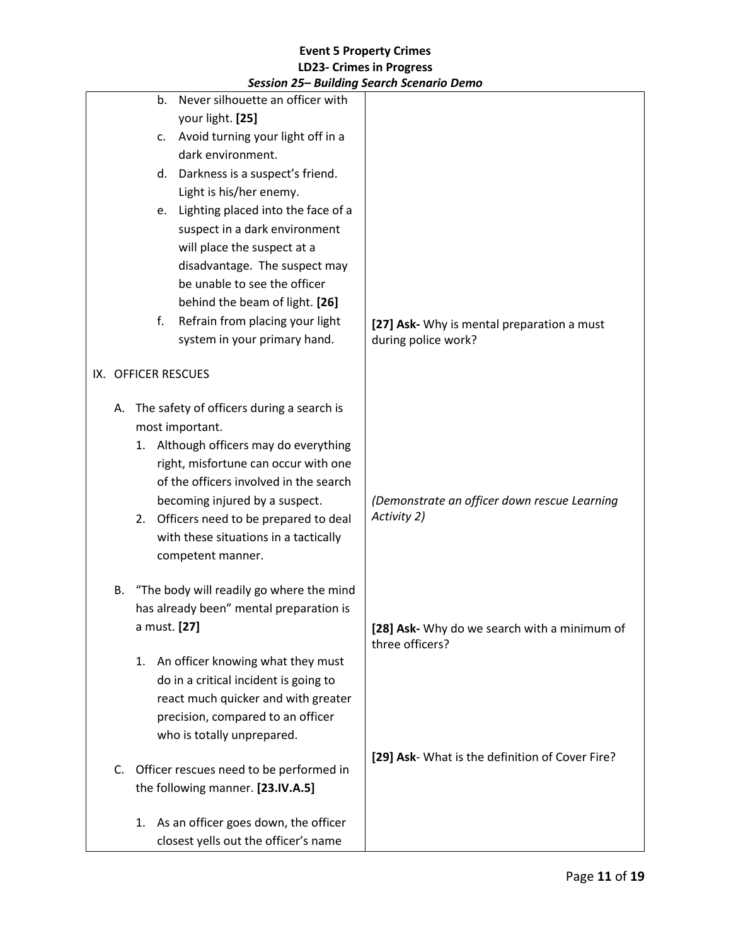|    |                     | session 25– Building Search Scenario Demo |                                                 |
|----|---------------------|-------------------------------------------|-------------------------------------------------|
|    | b.                  | Never silhouette an officer with          |                                                 |
|    |                     | your light. [25]                          |                                                 |
|    | c.                  | Avoid turning your light off in a         |                                                 |
|    |                     | dark environment.                         |                                                 |
|    | d.                  | Darkness is a suspect's friend.           |                                                 |
|    |                     | Light is his/her enemy.                   |                                                 |
|    | e.                  | Lighting placed into the face of a        |                                                 |
|    |                     | suspect in a dark environment             |                                                 |
|    |                     | will place the suspect at a               |                                                 |
|    |                     | disadvantage. The suspect may             |                                                 |
|    |                     | be unable to see the officer              |                                                 |
|    |                     | behind the beam of light. [26]            |                                                 |
|    | f.                  | Refrain from placing your light           | [27] Ask- Why is mental preparation a must      |
|    |                     | system in your primary hand.              | during police work?                             |
|    |                     |                                           |                                                 |
|    | IX. OFFICER RESCUES |                                           |                                                 |
| А. |                     | The safety of officers during a search is |                                                 |
|    |                     | most important.                           |                                                 |
|    |                     | 1. Although officers may do everything    |                                                 |
|    |                     | right, misfortune can occur with one      |                                                 |
|    |                     | of the officers involved in the search    |                                                 |
|    |                     | becoming injured by a suspect.            | (Demonstrate an officer down rescue Learning    |
|    | 2.                  | Officers need to be prepared to deal      | Activity 2)                                     |
|    |                     | with these situations in a tactically     |                                                 |
|    |                     | competent manner.                         |                                                 |
|    |                     |                                           |                                                 |
| В. |                     | "The body will readily go where the mind  |                                                 |
|    |                     | has already been" mental preparation is   |                                                 |
|    | a must. [27]        |                                           | [28] Ask- Why do we search with a minimum of    |
|    |                     |                                           | three officers?                                 |
|    | 1.                  | An officer knowing what they must         |                                                 |
|    |                     | do in a critical incident is going to     |                                                 |
|    |                     | react much quicker and with greater       |                                                 |
|    |                     | precision, compared to an officer         |                                                 |
|    |                     | who is totally unprepared.                |                                                 |
|    |                     |                                           | [29] Ask- What is the definition of Cover Fire? |
| C. |                     | Officer rescues need to be performed in   |                                                 |
|    |                     | the following manner. [23.IV.A.5]         |                                                 |
|    |                     | 1. As an officer goes down, the officer   |                                                 |
|    |                     | closest yells out the officer's name      |                                                 |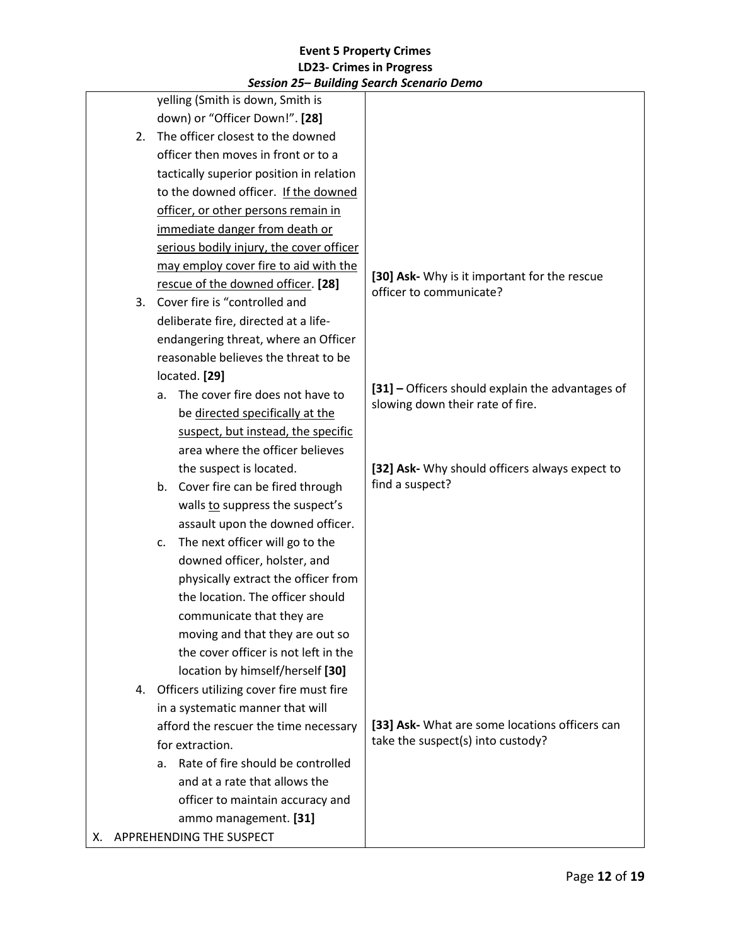|    |                                       | session 25 – bununiy seurch scenario Denio |                                                                         |
|----|---------------------------------------|--------------------------------------------|-------------------------------------------------------------------------|
|    |                                       | yelling (Smith is down, Smith is           |                                                                         |
|    |                                       | down) or "Officer Down!". [28]             |                                                                         |
|    | 2.                                    | The officer closest to the downed          |                                                                         |
|    |                                       | officer then moves in front or to a        |                                                                         |
|    |                                       | tactically superior position in relation   |                                                                         |
|    |                                       | to the downed officer. If the downed       |                                                                         |
|    |                                       | officer, or other persons remain in        |                                                                         |
|    |                                       | immediate danger from death or             |                                                                         |
|    |                                       | serious bodily injury, the cover officer   |                                                                         |
|    |                                       | may employ cover fire to aid with the      |                                                                         |
|    |                                       | rescue of the downed officer. [28]         | [30] Ask- Why is it important for the rescue<br>officer to communicate? |
|    | 3.                                    | Cover fire is "controlled and              |                                                                         |
|    |                                       | deliberate fire, directed at a life-       |                                                                         |
|    |                                       | endangering threat, where an Officer       |                                                                         |
|    |                                       | reasonable believes the threat to be       |                                                                         |
|    |                                       | located. [29]                              |                                                                         |
|    |                                       | The cover fire does not have to<br>a.      | [31] - Officers should explain the advantages of                        |
|    |                                       | be directed specifically at the            | slowing down their rate of fire.                                        |
|    |                                       | suspect, but instead, the specific         |                                                                         |
|    |                                       | area where the officer believes            |                                                                         |
|    |                                       | the suspect is located.                    | [32] Ask- Why should officers always expect to                          |
|    |                                       | b. Cover fire can be fired through         | find a suspect?                                                         |
|    |                                       | walls to suppress the suspect's            |                                                                         |
|    |                                       | assault upon the downed officer.           |                                                                         |
|    |                                       | The next officer will go to the<br>c.      |                                                                         |
|    |                                       | downed officer, holster, and               |                                                                         |
|    |                                       | physically extract the officer from        |                                                                         |
|    |                                       | the location. The officer should           |                                                                         |
|    |                                       | communicate that they are                  |                                                                         |
|    |                                       | moving and that they are out so            |                                                                         |
|    |                                       | the cover officer is not left in the       |                                                                         |
|    |                                       | location by himself/herself [30]           |                                                                         |
|    | 4.                                    | Officers utilizing cover fire must fire    |                                                                         |
|    |                                       | in a systematic manner that will           |                                                                         |
|    | afford the rescuer the time necessary |                                            | [33] Ask- What are some locations officers can                          |
|    |                                       | for extraction.                            | take the suspect(s) into custody?                                       |
|    |                                       | Rate of fire should be controlled<br>a.    |                                                                         |
|    |                                       | and at a rate that allows the              |                                                                         |
|    |                                       | officer to maintain accuracy and           |                                                                         |
|    |                                       | ammo management. [31]                      |                                                                         |
| х. |                                       | APPREHENDING THE SUSPECT                   |                                                                         |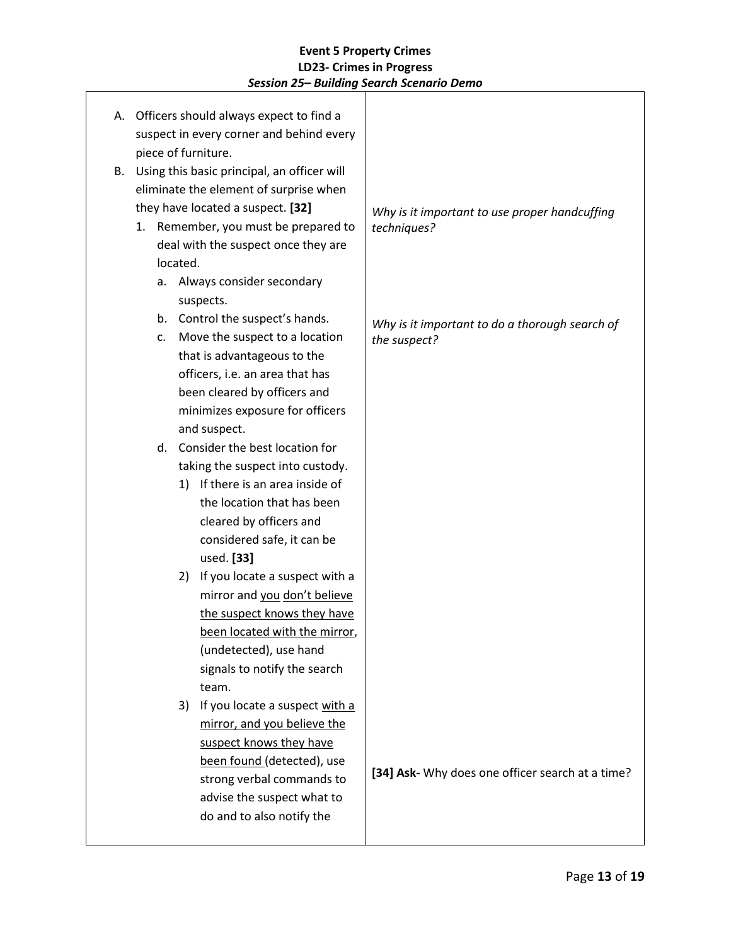|    |                                                                                       |    |          | A. Officers should always expect to find a |                                                  |
|----|---------------------------------------------------------------------------------------|----|----------|--------------------------------------------|--------------------------------------------------|
|    | suspect in every corner and behind every                                              |    |          |                                            |                                                  |
|    | piece of furniture.                                                                   |    |          |                                            |                                                  |
| B. | Using this basic principal, an officer will<br>eliminate the element of surprise when |    |          |                                            |                                                  |
|    |                                                                                       |    |          |                                            |                                                  |
|    |                                                                                       |    |          | they have located a suspect. [32]          | Why is it important to use proper handcuffing    |
|    |                                                                                       |    |          | 1. Remember, you must be prepared to       | techniques?                                      |
|    |                                                                                       |    |          | deal with the suspect once they are        |                                                  |
|    |                                                                                       |    | located. |                                            |                                                  |
|    |                                                                                       |    |          | a. Always consider secondary               |                                                  |
|    |                                                                                       |    |          | suspects.                                  |                                                  |
|    |                                                                                       |    |          | b. Control the suspect's hands.            | Why is it important to do a thorough search of   |
|    |                                                                                       | C. |          | Move the suspect to a location             | the suspect?                                     |
|    |                                                                                       |    |          | that is advantageous to the                |                                                  |
|    |                                                                                       |    |          | officers, i.e. an area that has            |                                                  |
|    |                                                                                       |    |          | been cleared by officers and               |                                                  |
|    |                                                                                       |    |          | minimizes exposure for officers            |                                                  |
|    |                                                                                       |    |          | and suspect.                               |                                                  |
|    |                                                                                       |    |          | d. Consider the best location for          |                                                  |
|    |                                                                                       |    |          | taking the suspect into custody.           |                                                  |
|    |                                                                                       |    |          | 1) If there is an area inside of           |                                                  |
|    |                                                                                       |    |          | the location that has been                 |                                                  |
|    |                                                                                       |    |          | cleared by officers and                    |                                                  |
|    |                                                                                       |    |          | considered safe, it can be                 |                                                  |
|    |                                                                                       |    |          | used. [33]                                 |                                                  |
|    |                                                                                       |    |          | 2) If you locate a suspect with a          |                                                  |
|    |                                                                                       |    |          | mirror and you don't believe               |                                                  |
|    |                                                                                       |    |          | the suspect knows they have                |                                                  |
|    |                                                                                       |    |          | been located with the mirror,              |                                                  |
|    |                                                                                       |    |          | (undetected), use hand                     |                                                  |
|    |                                                                                       |    |          | signals to notify the search               |                                                  |
|    |                                                                                       |    |          | team.                                      |                                                  |
|    |                                                                                       |    | 3)       | If you locate a suspect with a             |                                                  |
|    |                                                                                       |    |          | mirror, and you believe the                |                                                  |
|    |                                                                                       |    |          | suspect knows they have                    |                                                  |
|    |                                                                                       |    |          | been found (detected), use                 | [34] Ask- Why does one officer search at a time? |
|    |                                                                                       |    |          | strong verbal commands to                  |                                                  |
|    |                                                                                       |    |          | advise the suspect what to                 |                                                  |
|    |                                                                                       |    |          | do and to also notify the                  |                                                  |
|    |                                                                                       |    |          |                                            |                                                  |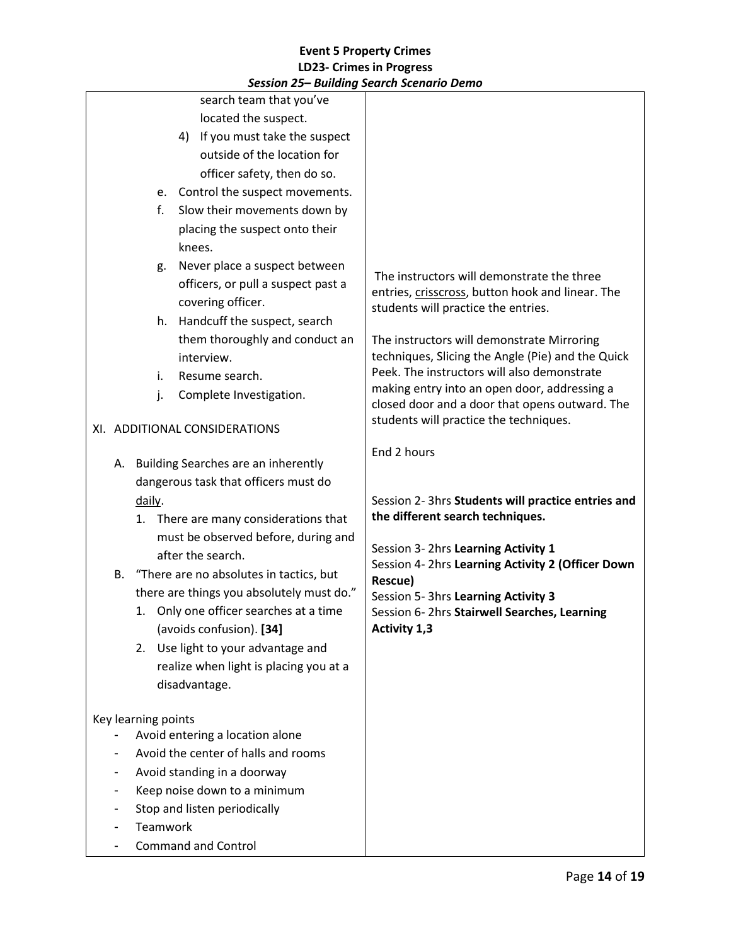|  |                                                 |                     |  | search team that you've                    |                                                                                         |
|--|-------------------------------------------------|---------------------|--|--------------------------------------------|-----------------------------------------------------------------------------------------|
|  |                                                 |                     |  | located the suspect.                       |                                                                                         |
|  |                                                 |                     |  | 4) If you must take the suspect            |                                                                                         |
|  |                                                 |                     |  | outside of the location for                |                                                                                         |
|  |                                                 |                     |  | officer safety, then do so.                |                                                                                         |
|  |                                                 | e.                  |  | Control the suspect movements.             |                                                                                         |
|  |                                                 | f.                  |  | Slow their movements down by               |                                                                                         |
|  |                                                 |                     |  | placing the suspect onto their             |                                                                                         |
|  |                                                 |                     |  | knees.                                     |                                                                                         |
|  |                                                 | g.                  |  | Never place a suspect between              |                                                                                         |
|  |                                                 |                     |  | officers, or pull a suspect past a         | The instructors will demonstrate the three                                              |
|  |                                                 |                     |  | covering officer.                          | entries, crisscross, button hook and linear. The<br>students will practice the entries. |
|  |                                                 | h.                  |  | Handcuff the suspect, search               |                                                                                         |
|  |                                                 |                     |  | them thoroughly and conduct an             | The instructors will demonstrate Mirroring                                              |
|  |                                                 |                     |  | interview.                                 | techniques, Slicing the Angle (Pie) and the Quick                                       |
|  |                                                 | i.                  |  | Resume search.                             | Peek. The instructors will also demonstrate                                             |
|  |                                                 | j.                  |  | Complete Investigation.                    | making entry into an open door, addressing a                                            |
|  |                                                 |                     |  |                                            | closed door and a door that opens outward. The                                          |
|  | XI. ADDITIONAL CONSIDERATIONS                   |                     |  |                                            | students will practice the techniques.                                                  |
|  |                                                 |                     |  | A. Building Searches are an inherently     | End 2 hours                                                                             |
|  | dangerous task that officers must do            |                     |  |                                            |                                                                                         |
|  | daily.<br>1. There are many considerations that |                     |  |                                            | Session 2- 3hrs Students will practice entries and<br>the different search techniques.  |
|  |                                                 |                     |  |                                            |                                                                                         |
|  |                                                 |                     |  | must be observed before, during and        |                                                                                         |
|  |                                                 |                     |  | after the search.                          | Session 3- 2hrs Learning Activity 1                                                     |
|  |                                                 |                     |  | B. "There are no absolutes in tactics, but | Session 4- 2hrs Learning Activity 2 (Officer Down                                       |
|  |                                                 |                     |  | there are things you absolutely must do."  | Rescue)                                                                                 |
|  |                                                 |                     |  | 1. Only one officer searches at a time     | Session 5- 3hrs Learning Activity 3<br>Session 6-2hrs Stairwell Searches, Learning      |
|  |                                                 |                     |  | (avoids confusion). [34]                   | <b>Activity 1,3</b>                                                                     |
|  |                                                 | 2.                  |  | Use light to your advantage and            |                                                                                         |
|  |                                                 |                     |  | realize when light is placing you at a     |                                                                                         |
|  |                                                 |                     |  | disadvantage.                              |                                                                                         |
|  |                                                 |                     |  |                                            |                                                                                         |
|  |                                                 | Key learning points |  |                                            |                                                                                         |
|  |                                                 |                     |  | Avoid entering a location alone            |                                                                                         |
|  |                                                 |                     |  | Avoid the center of halls and rooms        |                                                                                         |
|  |                                                 |                     |  | Avoid standing in a doorway                |                                                                                         |
|  |                                                 |                     |  | Keep noise down to a minimum               |                                                                                         |
|  |                                                 |                     |  | Stop and listen periodically               |                                                                                         |
|  |                                                 | Teamwork            |  |                                            |                                                                                         |
|  |                                                 |                     |  | <b>Command and Control</b>                 |                                                                                         |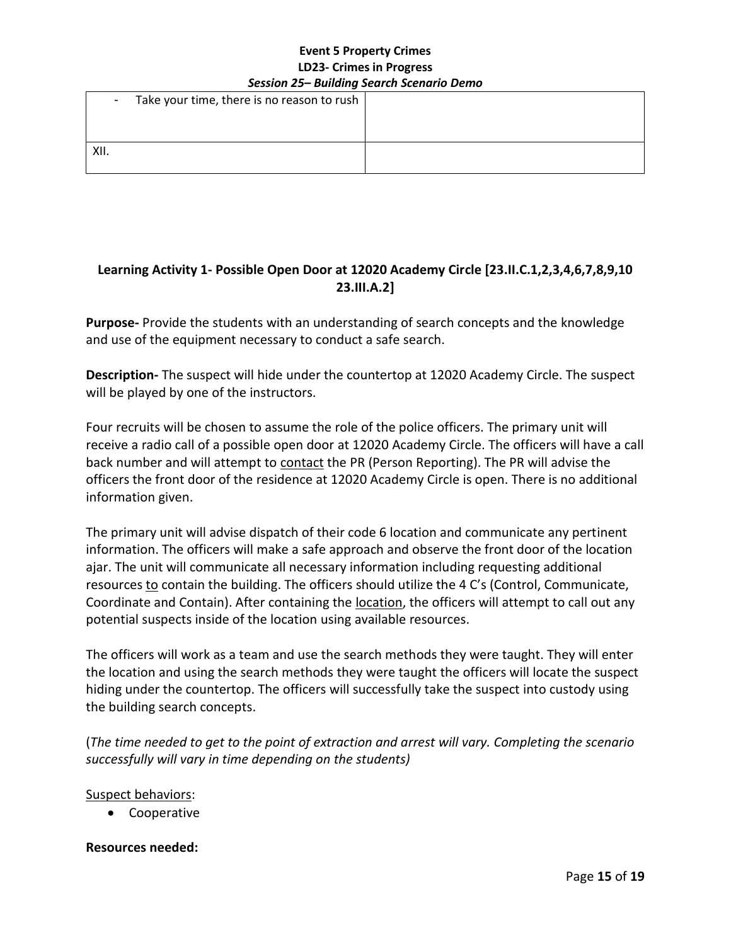| $\sim$ | Take your time, there is no reason to rush |  |
|--------|--------------------------------------------|--|
|        |                                            |  |
| XII.   |                                            |  |
|        |                                            |  |

# **Learning Activity 1- Possible Open Door at 12020 Academy Circle [23.II.C.1,2,3,4,6,7,8,9,10 23.III.A.2]**

**Purpose-** Provide the students with an understanding of search concepts and the knowledge and use of the equipment necessary to conduct a safe search.

**Description-** The suspect will hide under the countertop at 12020 Academy Circle. The suspect will be played by one of the instructors.

Four recruits will be chosen to assume the role of the police officers. The primary unit will receive a radio call of a possible open door at 12020 Academy Circle. The officers will have a call back number and will attempt to contact the PR (Person Reporting). The PR will advise the officers the front door of the residence at 12020 Academy Circle is open. There is no additional information given.

The primary unit will advise dispatch of their code 6 location and communicate any pertinent information. The officers will make a safe approach and observe the front door of the location ajar. The unit will communicate all necessary information including requesting additional resources to contain the building. The officers should utilize the 4 C's (Control, Communicate, Coordinate and Contain). After containing the **location**, the officers will attempt to call out any potential suspects inside of the location using available resources.

The officers will work as a team and use the search methods they were taught. They will enter the location and using the search methods they were taught the officers will locate the suspect hiding under the countertop. The officers will successfully take the suspect into custody using the building search concepts.

(*The time needed to get to the point of extraction and arrest will vary. Completing the scenario successfully will vary in time depending on the students)* 

### Suspect behaviors:

• Cooperative

### **Resources needed:**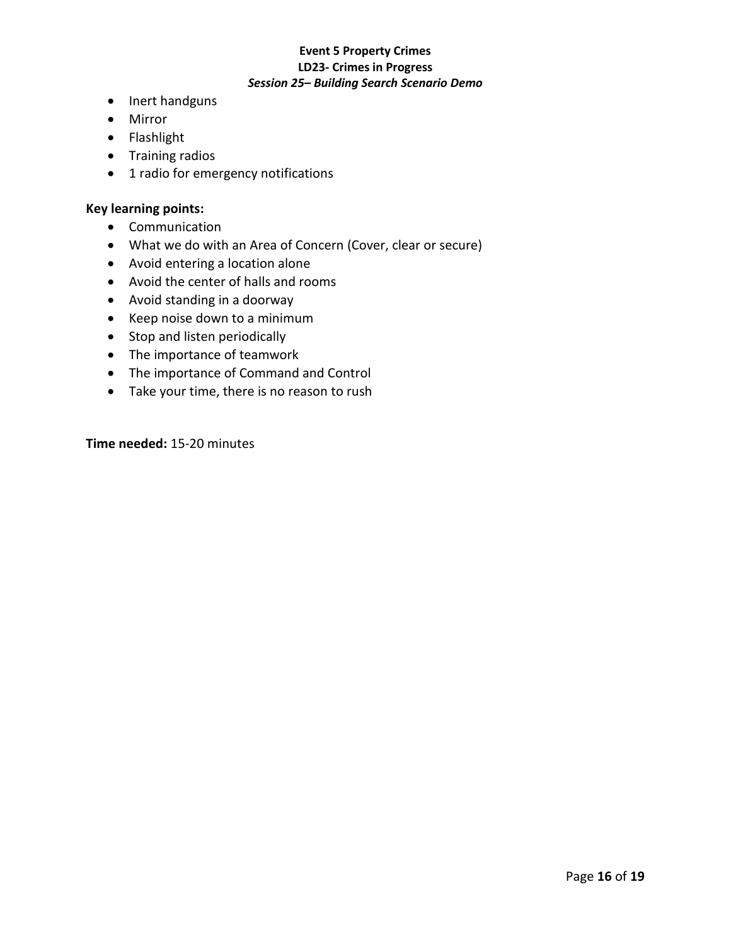- Inert handguns
- Mirror
- Flashlight
- Training radios
- 1 radio for emergency notifications

#### **Key learning points:**

- Communication
- What we do with an Area of Concern (Cover, clear or secure)
- Avoid entering a location alone
- Avoid the center of halls and rooms
- Avoid standing in a doorway
- Keep noise down to a minimum
- Stop and listen periodically
- The importance of teamwork
- The importance of Command and Control
- Take your time, there is no reason to rush

**Time needed:** 15-20 minutes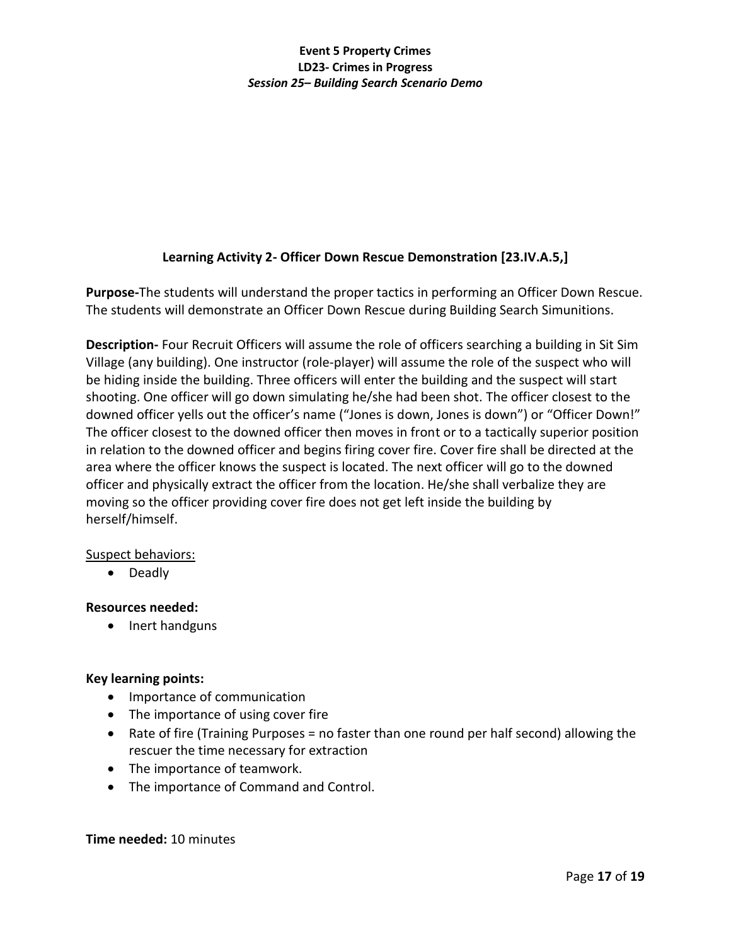# **Learning Activity 2- Officer Down Rescue Demonstration [23.IV.A.5,]**

**Purpose-**The students will understand the proper tactics in performing an Officer Down Rescue. The students will demonstrate an Officer Down Rescue during Building Search Simunitions.

**Description-** Four Recruit Officers will assume the role of officers searching a building in Sit Sim Village (any building). One instructor (role-player) will assume the role of the suspect who will be hiding inside the building. Three officers will enter the building and the suspect will start shooting. One officer will go down simulating he/she had been shot. The officer closest to the downed officer yells out the officer's name ("Jones is down, Jones is down") or "Officer Down!" The officer closest to the downed officer then moves in front or to a tactically superior position in relation to the downed officer and begins firing cover fire. Cover fire shall be directed at the area where the officer knows the suspect is located. The next officer will go to the downed officer and physically extract the officer from the location. He/she shall verbalize they are moving so the officer providing cover fire does not get left inside the building by herself/himself.

### Suspect behaviors:

• Deadly

### **Resources needed:**

• Inert handguns

# **Key learning points:**

- Importance of communication
- The importance of using cover fire
- Rate of fire (Training Purposes = no faster than one round per half second) allowing the rescuer the time necessary for extraction
- The importance of teamwork.
- The importance of Command and Control.

### **Time needed:** 10 minutes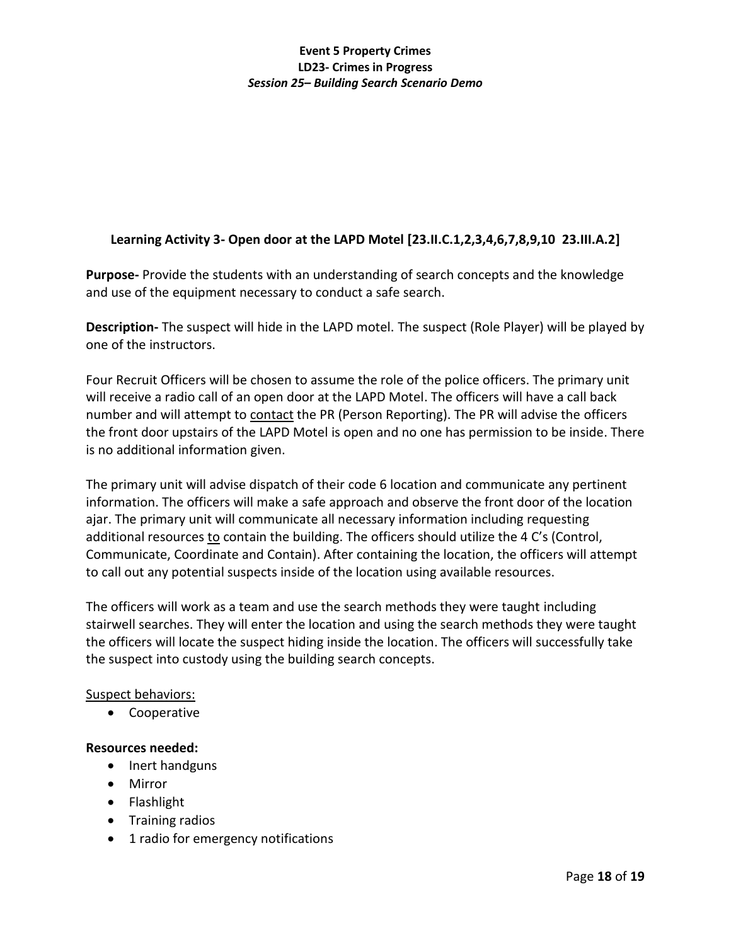# **Learning Activity 3- Open door at the LAPD Motel [23.II.C.1,2,3,4,6,7,8,9,10 23.III.A.2]**

**Purpose-** Provide the students with an understanding of search concepts and the knowledge and use of the equipment necessary to conduct a safe search.

**Description-** The suspect will hide in the LAPD motel. The suspect (Role Player) will be played by one of the instructors.

Four Recruit Officers will be chosen to assume the role of the police officers. The primary unit will receive a radio call of an open door at the LAPD Motel. The officers will have a call back number and will attempt to contact the PR (Person Reporting). The PR will advise the officers the front door upstairs of the LAPD Motel is open and no one has permission to be inside. There is no additional information given.

The primary unit will advise dispatch of their code 6 location and communicate any pertinent information. The officers will make a safe approach and observe the front door of the location ajar. The primary unit will communicate all necessary information including requesting additional resources to contain the building. The officers should utilize the 4 C's (Control, Communicate, Coordinate and Contain). After containing the location, the officers will attempt to call out any potential suspects inside of the location using available resources.

The officers will work as a team and use the search methods they were taught including stairwell searches. They will enter the location and using the search methods they were taught the officers will locate the suspect hiding inside the location. The officers will successfully take the suspect into custody using the building search concepts.

## Suspect behaviors:

• Cooperative

### **Resources needed:**

- Inert handguns
- Mirror
- Flashlight
- Training radios
- 1 radio for emergency notifications